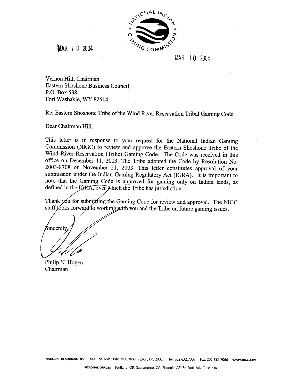

**MAR** 1 0 2004

MAR 10 2004

Vernon Hill, Chairman Eastern Shoshone Business Council P.O. Box 538 Fort Washakie, WY 82514

Re: Eastern Shoshone Tribe of the Wind River Reservation Tribal Gaming Code

Dear Chairman Hill:

This letter is in response to your request for the National Indian Gaming Commission (NIGC) to review and approve the Eastern Shoshone Tribe of the Wind River Reservation (Tribe) Gaming Code. The Code was received in this office on December 11, 2003. The Tribe adopted the Code by Resolution No. 2003-8708 on November 21, 2003. This letter constitutes approval of your submission under the Indian Gaming Regulatory Act (IGRA). It is important to note that the Gaming Code is approved for gaming only on Indian lands, as defined in the IGRA, over which the Tribe has jurisdiction.

Thank you for submitting the Gaming Code for review and approval. The NIGC staff Jooks forward to working with you and the Tribe on future gaming issues.

Sincerely

Chairman Philip N. Hogen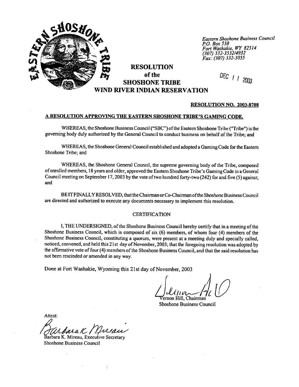

*Eastern Shoshone Business Council*  **PO.** *Box 538 Fort Washakie.* **WY** *82514 (307) 332-353214932*  **Fax: (307)** *332-3055* 

# **RESOLUTION of the SHOSHONE TRIBE RIVER INDIAN RESERVATION**

DEC 1 1 2003

#### **RESOLUTION NO. 2003-8708**

### **A RESOLUTION APPROVING THE EASTERN SHOSHONE TRIBE'S GAMING CODE.**

WHEREAS, the Shoshone Business Council ("SBC") of the Eastern Shoshone Tribe ("Tribe") is the governing body duly authorized by the General Council to conduct business on behalf of the Tribe; and

**WHEREAS,** the Shoshone General Council established and adopted a Gaming Code for the Eastern Shoshone Tribe; and

**WHEREAS,** the Shoshone General Council, the supreme governing body of the Tribe, composed of enrolled members, **18** years and older, approved the Eastern Shoshone Tribe's Gaming Code in a General Council meeting on September 17,2003 by the vote of two hundred forty-two (242) for and five (5) against; and

BE IT FINALLY RESOLVED, that the Chairman or Co-Chairman of the Shoshone Business Council are directed and authorized to execute any documents necessary to implement this resolution.

#### CERTIFICATION

**1,** THE UNDERSIGNED, of the Shoshone Business Council hereby certify that in a meeting of the Shoshone Business Council, which is composed of six (6) members, of whom four (4) members of the Shoshone Business Council, constituting a quorum, were present at a meeting duly and specially called, noticed, convened, and held this 21 st day of November, 2003; that the foregoing resolution was adopted by the affirmative vote of four (4) members of the Shoshone Business Council, and that the said resolution has not been rescinded or amended in any way.

**Done** at Fort Washakie, Wyoming this 2 1 st day of November, 2003

ernon Hill, Chairman

Shoshone Business Council

Attest:

Barbara K. Mireau. Executive Secretary

Shoshone Business Council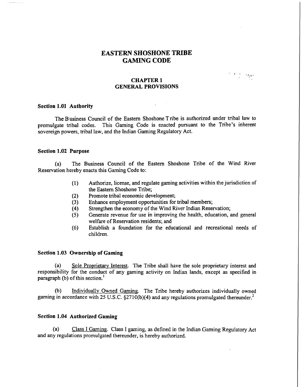# **EASTERN SHOSHONE TRIBE GAMING CODE**

 $\mathcal{P}_{\mathcal{A}}$  is

### **CHAPTER 1 GENERAL PROVISIONS**

### **Section 1.01 Authority**

The Business Council of the Eastern Shoshone Tribe is authorized under tribal law to promulgate tribal codes. This Gaming Code is enacted pursuant to the Tribe's inherent sovereign powers, tribal law, and the Indian Gaming Regulatory Act.

#### **Section 1.02 Purpose**

(a) The Business Council of the Eastern Shoshone Tribe of the Wind River Reservation hereby enacts this Gaming Code to:

- **(1)** Authorize, license, and regulate gaming activities within the jurisdiction of the Eastern Shoshone Tribe;
- **(2)** Promote tribal economic development;
- (3) Enhance employment opportunities for tribal members;<br>(4) Strengthen the economy of the Wind River Indian Reser
- **(4)** Strengthen the economy of the Wind River Indian Reservation;
- **(5)** Generate revenue for use in improving the health, education, and general welfare of Reservation residents; and
- (6) Establish a foundation for the educational and recreational needs of children.

### **Section 1.03 Ownership of Gaming**

(a) Sole Proprietary Interest. The Tribe shall have the sole proprietary interest and responsibility for the conduct of any gaming activity on Indian lands, except as specified in paragraph (b) of this section.'

**(b)** Individually Owned Gaming. The Tribe hereby authorizes individually owned gaming in accordance with 25 U.S.C. §2710(b)(4) and any regulations promulgated thereunder.<sup>2</sup>

# **Section 1.04 Authorized Gaming**

(a) Class I Gaming. Class I gaming, as defined in the Indian Gaming Regulatory Act and any regulations promulgated thereunder, is hereby authorized.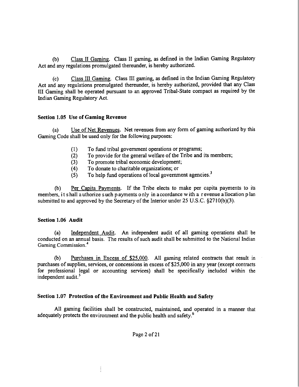(b) Class I1 Gaming. Class I1 gaming, as defined in the Indian Gaming Regulatory Act and any regulations promulgated thereunder, is hereby authorized.

(c) Class I11 Gaming. Class I11 gaming, as defined in the Indian Gaming Regulatory Act and any regulations promulgated thereunder, is hereby authorized, provided that any Class I11 Gaming shall be operated pursuant to an approved Tribal-State compact as required by the Indian Gaming Regulatory Act.

# **Section 1.05 Use of Gaming Revenue**

(a) Use of Net Revenues. Net revenues from any form of gaming authorized by this Gaming Code shall be used only for the following purposes:

- (1) To fund tribal government operations or programs;
- (2) To provide for the general welfare of the Tribe and its members;<br>(3) To promote tribal economic development;
- (3) To promote tribal economic development;<br>(4) To donate to charitable organizations; or
- **(4)** To donate to charitable organizations; or
- **(5)** To help fund operations of local government agencies.'

(b) Per Capita Pavments. If the Tribe elects to make per capita payments to its members, it shall a uthorize such p ayments o nly in accordance w ith a revenue a llocation p lan submitted to and approved by the Secretary of the Interior under  $25 \text{ U.S.C.}$   $\S 2710(b)(3)$ .

# **Section 1.06 Audit**

(a) Independent Audit. An independent audit of all gaming operations shall be conducted on an annual basis. The results of such audit shall be submitted to the National Indian **Gaming Commission.<sup>4</sup>** 

(b) Purchases in Excess of \$25.000. All gaming related contracts that result in purchases of supplies, services, or concessions in excess of \$25,000 in any year (except contracts for professional legal or accounting services) shall be specifically included within the independent audit.<sup>5</sup>

# **Section 1.07 Protection of the Environment and Public Health and Safety**

 $\frac{1}{2}$ 

All gaming facilities shall be constructed, maintained, and operated in a manner that adequately protects the environment and the public health and safety.<sup>6</sup>

Page 2 of **2** 1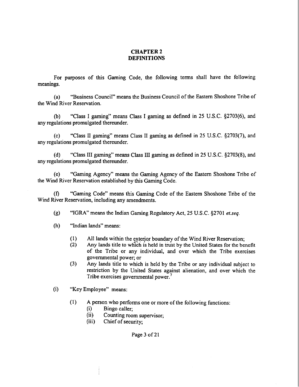# **CHAPTER 2 DEFINITIONS**

For purposes of this Gaming Code, the following terms shall have the following meanings.

(a) "Business Council" means the Business Council of the Eastern Shoshone Tribe of the Wind River Reservation.

(b) "Class I gaming" means Class I gaming as defined in 25 U.S.C. \$2703(6), and any regulations promulgated thereunder.

(c) "Class I1 gaming" means Class I1 gaming as defined in 25 U.S.C. §2703(7), and any regulations promulgated thereunder.

(d) "Class 111 gaming" means Class 111 gaming as defined in 25 U.S.C. §2703(8), and any regulations promulgated thereunder.

(e) "Gaming Agency" means the Gaming Agency of the Eastern Shoshone Tribe of the Wind River Reservation established by this Gaming Code.

**(f)** "Gaming Code" means this Gaming Code of the Eastern Shoshone Tribe of the Wind River Reservation, including any amendments.

(g) "IGRA" means the Indian Gaming Regulatory Act, 25 U.S.C. \$2701 **et.seq.** 

(h) "Indian lands" means:

- (1) All lands within the exterior boundary of the Wind River Reservation;<br>(2) Any lands title to which is held in trust by the United States for the be
- **(2)** Any lands title to which is held in trust by the United States for the benefit of the Tribe or any individual, and over which the Tribe exercises governmental power; or
- (3) Any lands title to which is held by the Tribe or any individual subject to restriction by the United States against alienation, and over which the Tribe exercises governmental power.<sup>7</sup>
- (i) "Key Employee" means:
	- (1) A person who performs one or more of the following functions:<br>(i) Bingo caller:
		- Bingo caller;
		- **(ii)** Counting room supervisor;
		- (iii) Chief of security;

Page 3 of 21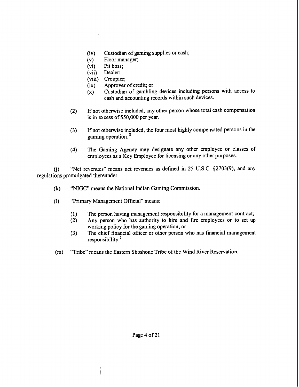- (iv) Custodian of gaming supplies or cash;<br>(v) Floor manager;
- Floor manager;
- (vi) Pit boss;
- (vii) Dealer;
- (viii) Croupier;
- (ix) Approver of credit; or
- (x) Custodian of gambling devices including persons with access to cash and accounting records within such devices.
- (2) If not otherwise included, any other person whose total cash compensation is in excess of **\$50,000** per year.
- **(3)** If not otherwise included, the four most highly compensated persons in the gaming operation. \*
- **(4)** The Gaming Agency may designate any other employee or classes of employees as a Key Employee for licensing or any other purposes.

**6)** "Net revenues" means net revenues as defined in 25 U.S.C. §2703(9), and any regulations promulgated thereunder.

- **(k)** "NIGC" means the National Indian Gaming Commission.
- (1) "Primary Management Official" means:
	- (1) The person having management responsibility for a management contract;<br>(2) Any person who has authority to hire and fire employees or to set up
	- Any person who has authority to hire and fire employees or to set up working policy for the gaming operation; or
	- **(3)** The chief financial oficer or other person who has financial management responsibility.<sup>9</sup>
- (m) "Tribe" means the Eastern Shoshone Tribe of the Wind River Reservation.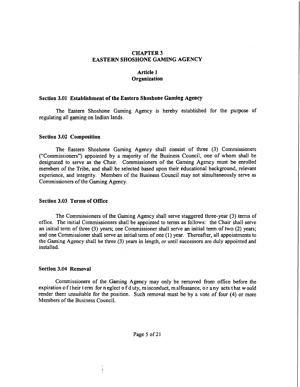## **CHAPTER 3 EASTERN SHOSHONE GAMING AGENCY**

# **Article 1 Organization**

### **Section 3.01 Establishment of the Eastern Shoshone Gaming Agency**

The Eastern Shoshone Gaming Agency is hereby established for the purpose of regulating all gaming on Indian lands.

### **Section 3.02 Composition**

The Eastern Shoshone Gaming Agency shall consist of three **(3)** Commissioners ("Commissioners") appointed by a majority of the Business Council, one of whom shall be designated to serve as the Chair. Commissioners of the Gaming Agency must be enrolled members of the Tribe, and shall be selected based upon their educational background, relevant experience, and integrity. Members of the Business Council may not simultaneously serve as Commissioners of the Gaming Agency.

### **Section 3.03 Terms of Office**

The Commissioners of the Gaming Agency shall serve staggered three-year **(3)** terms of office. The initial Commissioners shall be appointed to terms as follows: the Chair shall serve an initial term of three **(3)** years; one Commissioner shall serve an initial term of two (2) years; and one Commissioner shall serve an initial term of one (1) year. Thereafter, all appointments to the Gaming Agency shall be three **(3)** years in length, or until successors are duly appointed and installed.

### **Section 3.04 Removal**

Commissioners of the Gaming Agency may only be removed from office before the expiration of their term for n eglect of duty, misconduct, malfeasance, or any acts that would render them unsuitable for the position. Such removal must be by a vote of four (4) or more Members of the Business Council.